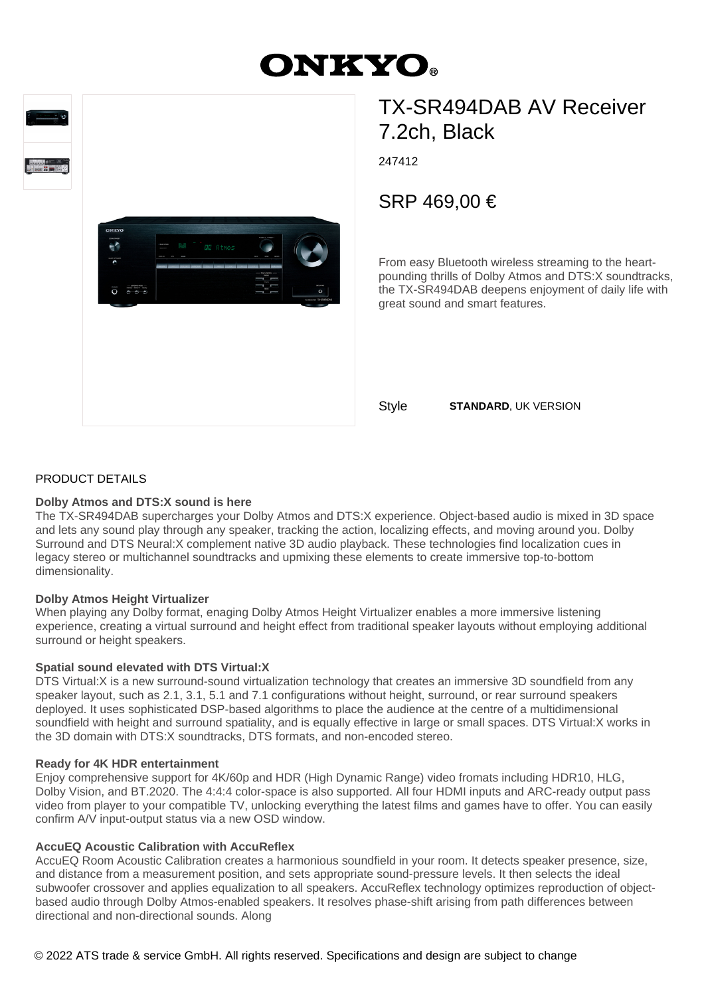# **ONKYO.**





# TX-SR494DAB AV Receiver 7.2ch, Black

247412

SRP 469,00 €

From easy Bluetooth wireless streaming to the heartpounding thrills of Dolby Atmos and DTS:X soundtracks, the TX-SR494DAB deepens enjoyment of daily life with great sound and smart features.

Style **STANDARD**, UK VERSION

# PRODUCT DETAILS

# **Dolby Atmos and DTS:X sound is here**

The TX-SR494DAB supercharges your Dolby Atmos and DTS:X experience. Object-based audio is mixed in 3D space and lets any sound play through any speaker, tracking the action, localizing effects, and moving around you. Dolby Surround and DTS Neural:X complement native 3D audio playback. These technologies find localization cues in legacy stereo or multichannel soundtracks and upmixing these elements to create immersive top-to-bottom dimensionality.

# **Dolby Atmos Height Virtualizer**

When playing any Dolby format, enaging Dolby Atmos Height Virtualizer enables a more immersive listening experience, creating a virtual surround and height effect from traditional speaker layouts without employing additional surround or height speakers.

# **Spatial sound elevated with DTS Virtual:X**

DTS Virtual:X is a new surround-sound virtualization technology that creates an immersive 3D soundfield from any speaker layout, such as 2.1, 3.1, 5.1 and 7.1 configurations without height, surround, or rear surround speakers deployed. It uses sophisticated DSP-based algorithms to place the audience at the centre of a multidimensional soundfield with height and surround spatiality, and is equally effective in large or small spaces. DTS Virtual:X works in the 3D domain with DTS:X soundtracks, DTS formats, and non-encoded stereo.

# **Ready for 4K HDR entertainment**

Enjoy comprehensive support for 4K/60p and HDR (High Dynamic Range) video fromats including HDR10, HLG, Dolby Vision, and BT.2020. The 4:4:4 color-space is also supported. All four HDMI inputs and ARC-ready output pass video from player to your compatible TV, unlocking everything the latest films and games have to offer. You can easily confirm A/V input-output status via a new OSD window.

# **AccuEQ Acoustic Calibration with AccuReflex**

AccuEQ Room Acoustic Calibration creates a harmonious soundfield in your room. It detects speaker presence, size, and distance from a measurement position, and sets appropriate sound-pressure levels. It then selects the ideal subwoofer crossover and applies equalization to all speakers. AccuReflex technology optimizes reproduction of objectbased audio through Dolby Atmos-enabled speakers. It resolves phase-shift arising from path differences between directional and non-directional sounds. Along